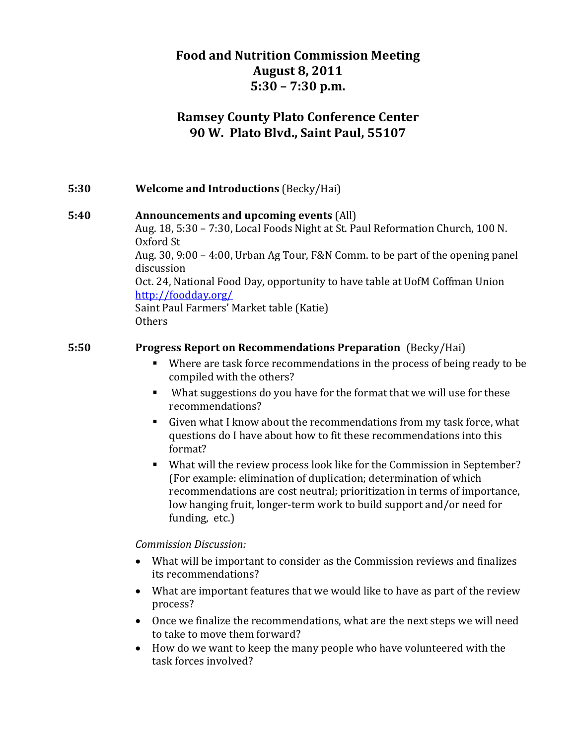# **Food and Nutrition Commission Meeting August 8, 2011 5:30 – 7:30 p.m.**

# **Ramsey County Plato Conference Center 90 W. Plato Blvd., Saint Paul, 55107**

## **5:30 Welcome and Introductions** (Becky/Hai)

#### **5:40 Announcements and upcoming events** (All)

Aug. 18, 5:30 – 7:30, Local Foods Night at St. Paul Reformation Church, 100 N. Oxford St Aug. 30, 9:00 – 4:00, Urban Ag Tour, F&N Comm. to be part of the opening panel discussion Oct. 24, National Food Day, opportunity to have table at UofM Coffman Union

http://foodday.org/

Saint Paul Farmers' Market table (Katie) **Others** 

#### **5:50 Progress Report on Recommendations Preparation** (Becky/Hai)

- Where are task force recommendations in the process of being ready to be compiled with the others?
- What suggestions do you have for the format that we will use for these recommendations?
- Given what I know about the recommendations from my task force, what questions do I have about how to fit these recommendations into this format?
- What will the review process look like for the Commission in September? (For example: elimination of duplication; determination of which recommendations are cost neutral; prioritization in terms of importance, low hanging fruit, longer‐term work to build support and/or need for funding, etc.)

#### *Commission Discussion:*

- What will be important to consider as the Commission reviews and finalizes its recommendations?
- What are important features that we would like to have as part of the review process?
- Once we finalize the recommendations, what are the next steps we will need to take to move them forward?
- How do we want to keep the many people who have volunteered with the task forces involved?